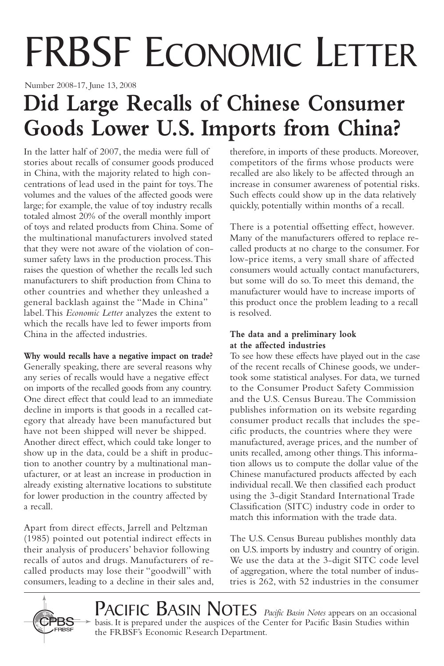# FRBSF ECONOMIC LETTER

Number 2008-17, June 13, 2008

## **Did Large Recalls of Chinese Consumer Goods Lower U.S. Imports from China?**

In the latter half of 2007, the media were full of stories about recalls of consumer goods produced in China, with the majority related to high concentrations of lead used in the paint for toys.The volumes and the values of the affected goods were large; for example, the value of toy industry recalls totaled almost 20% of the overall monthly import of toys and related products from China. Some of the multinational manufacturers involved stated that they were not aware of the violation of consumer safety laws in the production process.This raises the question of whether the recalls led such manufacturers to shift production from China to other countries and whether they unleashed a general backlash against the "Made in China" label.This *Economic Letter* analyzes the extent to which the recalls have led to fewer imports from China in the affected industries.

**Why would recalls have a negative impact on trade?**

Generally speaking, there are several reasons why any series of recalls would have a negative effect on imports of the recalled goods from any country. One direct effect that could lead to an immediate decline in imports is that goods in a recalled category that already have been manufactured but have not been shipped will never be shipped. Another direct effect, which could take longer to show up in the data, could be a shift in production to another country by a multinational manufacturer, or at least an increase in production in already existing alternative locations to substitute for lower production in the country affected by a recall.

Apart from direct effects, Jarrell and Peltzman (1985) pointed out potential indirect effects in their analysis of producers' behavior following recalls of autos and drugs. Manufacturers of recalled products may lose their "goodwill" with consumers, leading to a decline in their sales and,

therefore, in imports of these products. Moreover, competitors of the firms whose products were recalled are also likely to be affected through an increase in consumer awareness of potential risks. Such effects could show up in the data relatively quickly, potentially within months of a recall.

There is a potential offsetting effect, however. Many of the manufacturers offered to replace recalled products at no charge to the consumer. For low-price items, a very small share of affected consumers would actually contact manufacturers, but some will do so.To meet this demand, the manufacturer would have to increase imports of this product once the problem leading to a recall is resolved.

#### **The data and a preliminary look at the affected industries**

To see how these effects have played out in the case of the recent recalls of Chinese goods, we undertook some statistical analyses. For data, we turned to the Consumer Product Safety Commission and the U.S. Census Bureau.The Commission publishes information on its website regarding consumer product recalls that includes the specific products, the countries where they were manufactured, average prices, and the number of units recalled, among other things.This information allows us to compute the dollar value of the Chinese manufactured products affected by each individual recall.We then classified each product using the 3-digit Standard International Trade Classification (SITC) industry code in order to match this information with the trade data.

The U.S. Census Bureau publishes monthly data on U.S. imports by industry and country of origin. We use the data at the 3-digit SITC code level of aggregation, where the total number of industries is 262, with 52 industries in the consumer



PACIFIC BASIN NOTES *Pacific Basin Notes* appears on an occasional basis. It is prepared under the auspices of the Center for Pacific Basin Studies within the FRBSF's Economic Research Department.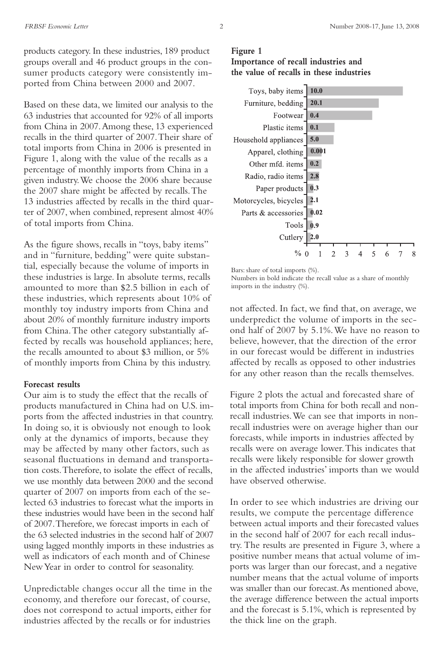products category. In these industries, 189 product groups overall and 46 product groups in the consumer products category were consistently imported from China between 2000 and 2007.

Based on these data, we limited our analysis to the 63 industries that accounted for 92% of all imports from China in 2007.Among these, 13 experienced recalls in the third quarter of 2007.Their share of total imports from China in 2006 is presented in Figure 1, along with the value of the recalls as a percentage of monthly imports from China in a given industry.We choose the 2006 share because the 2007 share might be affected by recalls.The 13 industries affected by recalls in the third quarter of 2007, when combined, represent almost 40% of total imports from China.

As the figure shows, recalls in "toys, baby items" and in "furniture, bedding" were quite substantial, especially because the volume of imports in these industries is large. In absolute terms, recalls amounted to more than \$2.5 billion in each of these industries, which represents about 10% of monthly toy industry imports from China and about 20% of monthly furniture industry imports from China.The other category substantially affected by recalls was household appliances; here, the recalls amounted to about \$3 million, or 5% of monthly imports from China by this industry.

#### **Forecast results**

Our aim is to study the effect that the recalls of products manufactured in China had on U.S. imports from the affected industries in that country. In doing so, it is obviously not enough to look only at the dynamics of imports, because they may be affected by many other factors, such as seasonal fluctuations in demand and transportation costs.Therefore, to isolate the effect of recalls, we use monthly data between 2000 and the second quarter of 2007 on imports from each of the selected 63 industries to forecast what the imports in these industries would have been in the second half of 2007.Therefore, we forecast imports in each of the 63 selected industries in the second half of 2007 using lagged monthly imports in these industries as well as indicators of each month and of Chinese NewYear in order to control for seasonality.

Unpredictable changes occur all the time in the economy, and therefore our forecast, of course, does not correspond to actual imports, either for industries affected by the recalls or for industries

#### **Figure 1 Importance of recall industries and the value of recalls in these industries**



Bars: share of total imports (%).

Numbers in bold indicate the recall value as a share of monthly imports in the industry (%).

not affected. In fact, we find that, on average, we underpredict the volume of imports in the second half of 2007 by 5.1%.We have no reason to believe, however, that the direction of the error in our forecast would be different in industries affected by recalls as opposed to other industries for any other reason than the recalls themselves.

Figure 2 plots the actual and forecasted share of total imports from China for both recall and nonrecall industries.We can see that imports in nonrecall industries were on average higher than our forecasts, while imports in industries affected by recalls were on average lower.This indicates that recalls were likely responsible for slower growth in the affected industries' imports than we would have observed otherwise.

In order to see which industries are driving our results, we compute the percentage difference between actual imports and their forecasted values in the second half of 2007 for each recall industry. The results are presented in Figure 3, where a positive number means that actual volume of imports was larger than our forecast, and a negative number means that the actual volume of imports was smaller than our forecast.As mentioned above, the average difference between the actual imports and the forecast is 5.1%, which is represented by the thick line on the graph.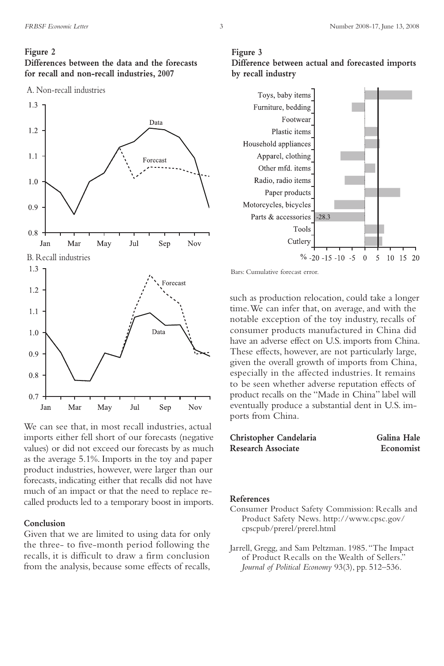#### **Figure 2**

**Differences between the data and the forecasts for recall and non-recall industries, 2007**





We can see that, in most recall industries, actual imports either fell short of our forecasts (negative values) or did not exceed our forecasts by as much as the average 5.1%. Imports in the toy and paper product industries, however, were larger than our forecasts, indicating either that recalls did not have much of an impact or that the need to replace recalled products led to a temporary boost in imports.

#### **Conclusion**

Given that we are limited to using data for only the three- to five-month period following the recalls, it is difficult to draw a firm conclusion from the analysis, because some effects of recalls,





Bars: Cumulative forecast error.

such as production relocation, could take a longer time.We can infer that, on average, and with the notable exception of the toy industry, recalls of consumer products manufactured in China did have an adverse effect on U.S. imports from China. These effects, however, are not particularly large, given the overall growth of imports from China, especially in the affected industries. It remains to be seen whether adverse reputation effects of product recalls on the "Made in China" label will eventually produce a substantial dent in U.S. imports from China.

| Christopher Candelaria    | Galina Hale |
|---------------------------|-------------|
| <b>Research Associate</b> | Economist   |

#### **References**

- Consumer Product Safety Commission: Recalls and Product Safety News. http://www.cpsc.gov/ cpscpub/prerel/prerel.html
- Jarrell, Gregg, and Sam Peltzman. 1985."The Impact of Product Recalls on the Wealth of Sellers." *Journal of Political Economy* 93(3), pp. 512–536.